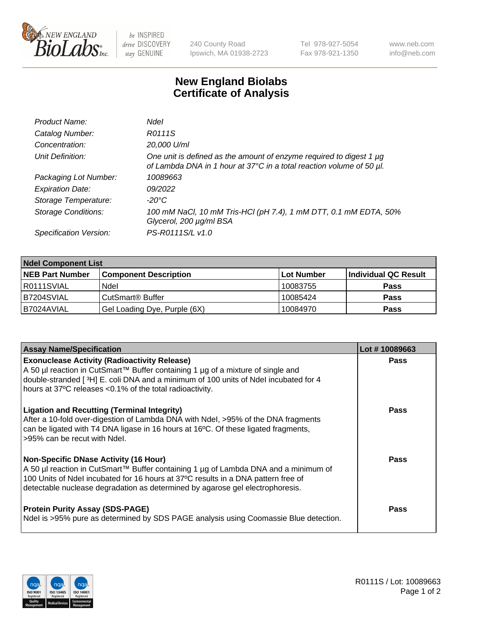

 $be$  INSPIRED drive DISCOVERY stay GENUINE

240 County Road Ipswich, MA 01938-2723 Tel 978-927-5054 Fax 978-921-1350 www.neb.com info@neb.com

## **New England Biolabs Certificate of Analysis**

| Product Name:              | <b>Ndel</b>                                                                                                                                 |
|----------------------------|---------------------------------------------------------------------------------------------------------------------------------------------|
| Catalog Number:            | R0111S                                                                                                                                      |
| Concentration:             | 20,000 U/ml                                                                                                                                 |
| Unit Definition:           | One unit is defined as the amount of enzyme required to digest 1 µg<br>of Lambda DNA in 1 hour at 37°C in a total reaction volume of 50 µl. |
| Packaging Lot Number:      | 10089663                                                                                                                                    |
| <b>Expiration Date:</b>    | 09/2022                                                                                                                                     |
| Storage Temperature:       | -20°C                                                                                                                                       |
| <b>Storage Conditions:</b> | 100 mM NaCl, 10 mM Tris-HCl (pH 7.4), 1 mM DTT, 0.1 mM EDTA, 50%<br>Glycerol, 200 µg/ml BSA                                                 |
| Specification Version:     | PS-R0111S/L v1.0                                                                                                                            |

| <b>Ndel Component List</b> |                              |            |                      |  |  |
|----------------------------|------------------------------|------------|----------------------|--|--|
| <b>NEB Part Number</b>     | <b>Component Description</b> | Lot Number | Individual QC Result |  |  |
| R0111SVIAL                 | Ndel                         | 10083755   | <b>Pass</b>          |  |  |
| B7204SVIAL                 | CutSmart® Buffer             | 10085424   | <b>Pass</b>          |  |  |
| B7024AVIAL                 | Gel Loading Dye, Purple (6X) | 10084970   | <b>Pass</b>          |  |  |

| <b>Assay Name/Specification</b>                                                                                                                                                                                                                                                                           | Lot #10089663 |
|-----------------------------------------------------------------------------------------------------------------------------------------------------------------------------------------------------------------------------------------------------------------------------------------------------------|---------------|
| <b>Exonuclease Activity (Radioactivity Release)</b><br>A 50 µl reaction in CutSmart™ Buffer containing 1 µg of a mixture of single and<br>double-stranded [3H] E. coli DNA and a minimum of 100 units of Ndel incubated for 4<br>hours at 37°C releases <0.1% of the total radioactivity.                 | <b>Pass</b>   |
| <b>Ligation and Recutting (Terminal Integrity)</b><br>After a 10-fold over-digestion of Lambda DNA with Ndel, >95% of the DNA fragments<br>can be ligated with T4 DNA ligase in 16 hours at 16 $\degree$ C. Of these ligated fragments,<br>l>95% can be recut with Ndel.                                  | <b>Pass</b>   |
| <b>Non-Specific DNase Activity (16 Hour)</b><br>A 50 µl reaction in CutSmart™ Buffer containing 1 µg of Lambda DNA and a minimum of<br>100 Units of Ndel incubated for 16 hours at 37°C results in a DNA pattern free of<br>detectable nuclease degradation as determined by agarose gel electrophoresis. | Pass          |
| <b>Protein Purity Assay (SDS-PAGE)</b><br>Ndel is >95% pure as determined by SDS PAGE analysis using Coomassie Blue detection.                                                                                                                                                                            | Pass          |